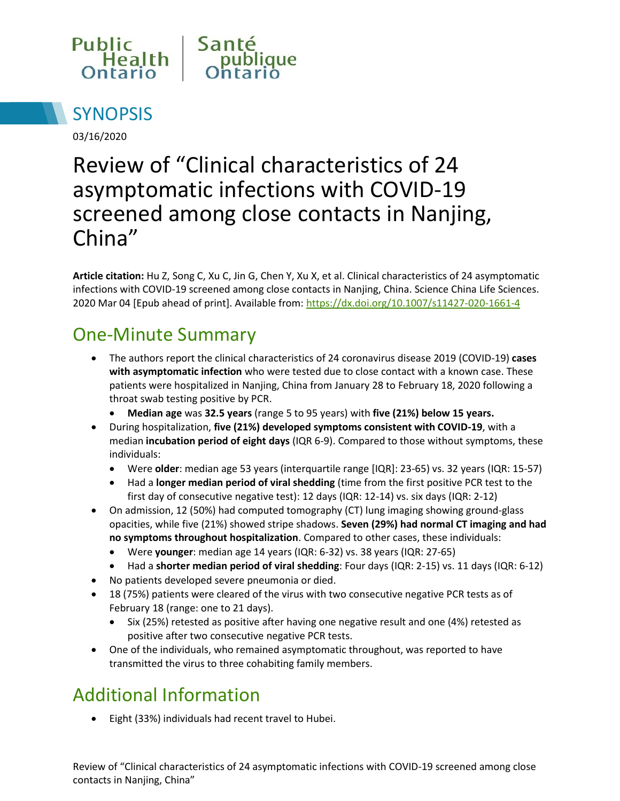



03/16/2020

# Review of "Clinical characteristics of 24 asymptomatic infections with COVID-19 screened among close contacts in Nanjing, China"

**Article citation:** Hu Z, Song C, Xu C, Jin G, Chen Y, Xu X, et al. Clinical characteristics of 24 asymptomatic infections with COVID-19 screened among close contacts in Nanjing, China. Science China Life Sciences. 2020 Mar 04 [Epub ahead of print]. Available from: <https://dx.doi.org/10.1007/s11427-020-1661-4>

## One-Minute Summary

- The authors report the clinical characteristics of 24 coronavirus disease 2019 (COVID-19) **cases with asymptomatic infection** who were tested due to close contact with a known case. These patients were hospitalized in Nanjing, China from January 28 to February 18, 2020 following a throat swab testing positive by PCR.
	- **Median age** was **32.5 years** (range 5 to 95 years) with **five (21%) below 15 years.**
- During hospitalization, **five (21%) developed symptoms consistent with COVID-19**, with a median **incubation period of eight days** (IQR 6-9). Compared to those without symptoms, these individuals:
	- Were **older**: median age 53 years (interquartile range [IQR]: 23-65) vs. 32 years (IQR: 15-57)
	- Had a **longer median period of viral shedding** (time from the first positive PCR test to the first day of consecutive negative test): 12 days (IQR: 12-14) vs. six days (IQR: 2-12)
- On admission, 12 (50%) had computed tomography (CT) lung imaging showing ground-glass opacities, while five (21%) showed stripe shadows. **Seven (29%) had normal CT imaging and had no symptoms throughout hospitalization**. Compared to other cases, these individuals:
	- Were **younger**: median age 14 years (IQR: 6-32) vs. 38 years (IQR: 27-65)
	- Had a **shorter median period of viral shedding**: Four days (IQR: 2-15) vs. 11 days (IQR: 6-12)
- No patients developed severe pneumonia or died.
- 18 (75%) patients were cleared of the virus with two consecutive negative PCR tests as of February 18 (range: one to 21 days).
	- Six (25%) retested as positive after having one negative result and one (4%) retested as positive after two consecutive negative PCR tests.
- One of the individuals, who remained asymptomatic throughout, was reported to have transmitted the virus to three cohabiting family members.

# Additional Information

Eight (33%) individuals had recent travel to Hubei.